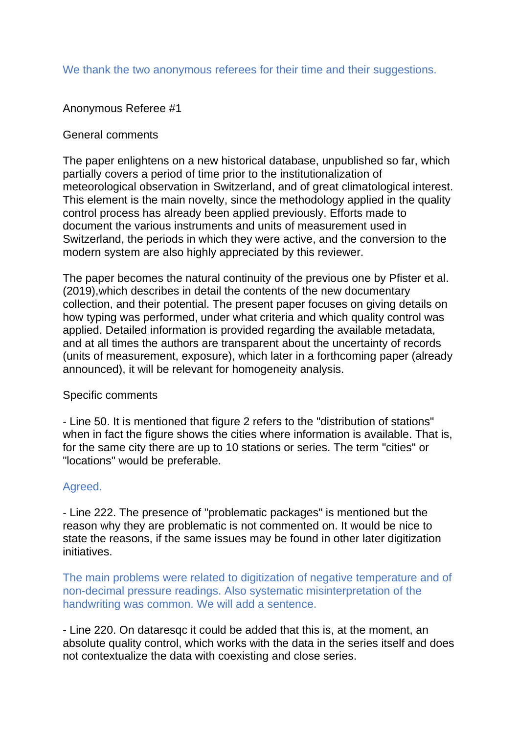# We thank the two anonymous referees for their time and their suggestions.

# Anonymous Referee #1

### General comments

The paper enlightens on a new historical database, unpublished so far, which partially covers a period of time prior to the institutionalization of meteorological observation in Switzerland, and of great climatological interest. This element is the main novelty, since the methodology applied in the quality control process has already been applied previously. Efforts made to document the various instruments and units of measurement used in Switzerland, the periods in which they were active, and the conversion to the modern system are also highly appreciated by this reviewer.

The paper becomes the natural continuity of the previous one by Pfister et al. (2019),which describes in detail the contents of the new documentary collection, and their potential. The present paper focuses on giving details on how typing was performed, under what criteria and which quality control was applied. Detailed information is provided regarding the available metadata, and at all times the authors are transparent about the uncertainty of records (units of measurement, exposure), which later in a forthcoming paper (already announced), it will be relevant for homogeneity analysis.

#### Specific comments

- Line 50. It is mentioned that figure 2 refers to the "distribution of stations" when in fact the figure shows the cities where information is available. That is, for the same city there are up to 10 stations or series. The term "cities" or "locations" would be preferable.

## Agreed.

- Line 222. The presence of "problematic packages" is mentioned but the reason why they are problematic is not commented on. It would be nice to state the reasons, if the same issues may be found in other later digitization initiatives.

The main problems were related to digitization of negative temperature and of non-decimal pressure readings. Also systematic misinterpretation of the handwriting was common. We will add a sentence.

- Line 220. On dataresqc it could be added that this is, at the moment, an absolute quality control, which works with the data in the series itself and does not contextualize the data with coexisting and close series.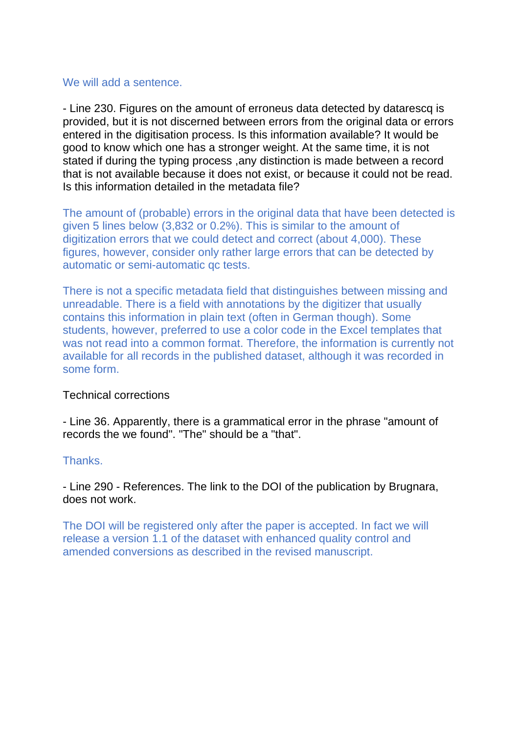#### We will add a sentence.

- Line 230. Figures on the amount of erroneus data detected by datarescq is provided, but it is not discerned between errors from the original data or errors entered in the digitisation process. Is this information available? It would be good to know which one has a stronger weight. At the same time, it is not stated if during the typing process ,any distinction is made between a record that is not available because it does not exist, or because it could not be read. Is this information detailed in the metadata file?

The amount of (probable) errors in the original data that have been detected is given 5 lines below (3,832 or 0.2%). This is similar to the amount of digitization errors that we could detect and correct (about 4,000). These figures, however, consider only rather large errors that can be detected by automatic or semi-automatic qc tests.

There is not a specific metadata field that distinguishes between missing and unreadable. There is a field with annotations by the digitizer that usually contains this information in plain text (often in German though). Some students, however, preferred to use a color code in the Excel templates that was not read into a common format. Therefore, the information is currently not available for all records in the published dataset, although it was recorded in some form.

## Technical corrections

- Line 36. Apparently, there is a grammatical error in the phrase "amount of records the we found". "The" should be a "that".

## Thanks.

- Line 290 - References. The link to the DOI of the publication by Brugnara, does not work.

The DOI will be registered only after the paper is accepted. In fact we will release a version 1.1 of the dataset with enhanced quality control and amended conversions as described in the revised manuscript.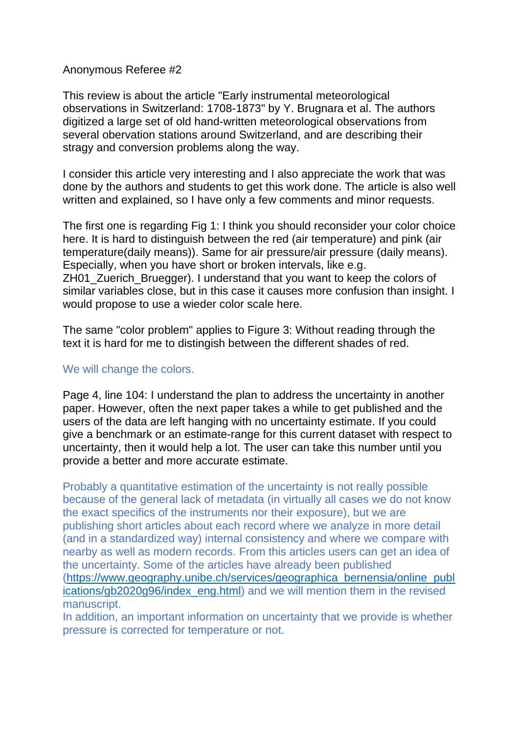### Anonymous Referee #2

This review is about the article "Early instrumental meteorological observations in Switzerland: 1708-1873" by Y. Brugnara et al. The authors digitized a large set of old hand-written meteorological observations from several obervation stations around Switzerland, and are describing their stragy and conversion problems along the way.

I consider this article very interesting and I also appreciate the work that was done by the authors and students to get this work done. The article is also well written and explained, so I have only a few comments and minor requests.

The first one is regarding Fig 1: I think you should reconsider your color choice here. It is hard to distinguish between the red (air temperature) and pink (air temperature(daily means)). Same for air pressure/air pressure (daily means). Especially, when you have short or broken intervals, like e.g. ZH01\_Zuerich\_Bruegger). I understand that you want to keep the colors of similar variables close, but in this case it causes more confusion than insight. I would propose to use a wieder color scale here.

The same "color problem" applies to Figure 3: Without reading through the text it is hard for me to distingish between the different shades of red.

#### We will change the colors.

Page 4, line 104: I understand the plan to address the uncertainty in another paper. However, often the next paper takes a while to get published and the users of the data are left hanging with no uncertainty estimate. If you could give a benchmark or an estimate-range for this current dataset with respect to uncertainty, then it would help a lot. The user can take this number until you provide a better and more accurate estimate.

Probably a quantitative estimation of the uncertainty is not really possible because of the general lack of metadata (in virtually all cases we do not know the exact specifics of the instruments nor their exposure), but we are publishing short articles about each record where we analyze in more detail (and in a standardized way) internal consistency and where we compare with nearby as well as modern records. From this articles users can get an idea of the uncertainty. Some of the articles have already been published [\(https://www.geography.unibe.ch/services/geographica\\_bernensia/online\\_publ](https://www.geography.unibe.ch/services/geographica_bernensia/online_publications/gb2020g96/index_eng.html) [ications/gb2020g96/index\\_eng.html\)](https://www.geography.unibe.ch/services/geographica_bernensia/online_publications/gb2020g96/index_eng.html) and we will mention them in the revised manuscript.

In addition, an important information on uncertainty that we provide is whether pressure is corrected for temperature or not.